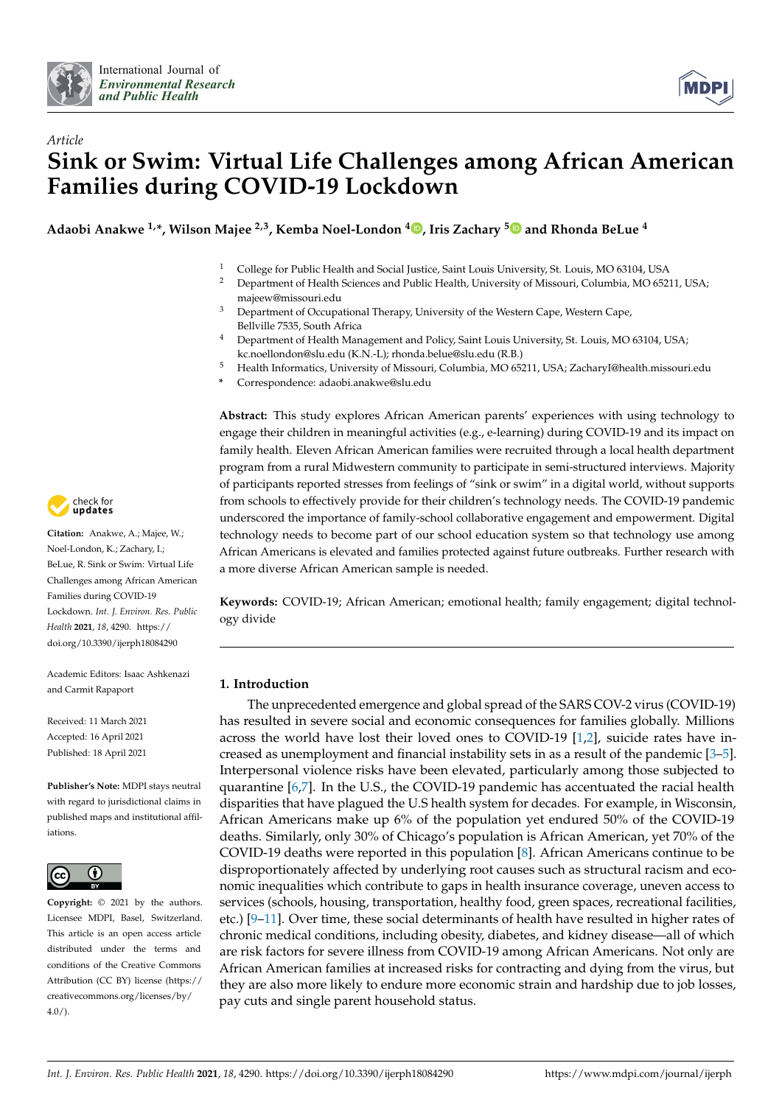



# *Article* **Sink or Swim: Virtual Life Challenges among African American Families during COVID-19 Lockdown**

**Adaobi Anakwe 1,\*, Wilson Majee 2,3, Kemba Noel-London <sup>4</sup> [,](https://orcid.org/0000-0002-5871-0705) Iris Zachary [5](https://orcid.org/0000-0002-8159-807X) and Rhonda BeLue <sup>4</sup>**

- <sup>1</sup> College for Public Health and Social Justice, Saint Louis University, St. Louis, MO 63104, USA<br><sup>2</sup> Department of Health Sciences and Public Health University of Missouri Columbia, MO 652
- <sup>2</sup> Department of Health Sciences and Public Health, University of Missouri, Columbia, MO 65211, USA; majeew@missouri.edu
- <sup>3</sup> Department of Occupational Therapy, University of the Western Cape, Western Cape, Bellville 7535, South Africa
- <sup>4</sup> Department of Health Management and Policy, Saint Louis University, St. Louis, MO 63104, USA; kc.noellondon@slu.edu (K.N.-L); rhonda.belue@slu.edu (R.B.)
- <sup>5</sup> Health Informatics, University of Missouri, Columbia, MO 65211, USA; ZacharyI@health.missouri.edu
- **\*** Correspondence: adaobi.anakwe@slu.edu

**Abstract:** This study explores African American parents' experiences with using technology to engage their children in meaningful activities (e.g., e-learning) during COVID-19 and its impact on family health. Eleven African American families were recruited through a local health department program from a rural Midwestern community to participate in semi-structured interviews. Majority of participants reported stresses from feelings of "sink or swim" in a digital world, without supports from schools to effectively provide for their children's technology needs. The COVID-19 pandemic underscored the importance of family-school collaborative engagement and empowerment. Digital technology needs to become part of our school education system so that technology use among African Americans is elevated and families protected against future outbreaks. Further research with a more diverse African American sample is needed.

**Keywords:** COVID-19; African American; emotional health; family engagement; digital technology divide

# **1. Introduction**

The unprecedented emergence and global spread of the SARS COV-2 virus (COVID-19) has resulted in severe social and economic consequences for families globally. Millions across the world have lost their loved ones to COVID-19 [\[1](#page-9-0)[,2\]](#page-9-1), suicide rates have increased as unemployment and financial instability sets in as a result of the pandemic [\[3](#page-9-2)[–5\]](#page-9-3). Interpersonal violence risks have been elevated, particularly among those subjected to quarantine [\[6,](#page-9-4)[7\]](#page-9-5). In the U.S., the COVID-19 pandemic has accentuated the racial health disparities that have plagued the U.S health system for decades. For example, in Wisconsin, African Americans make up 6% of the population yet endured 50% of the COVID-19 deaths. Similarly, only 30% of Chicago's population is African American, yet 70% of the COVID-19 deaths were reported in this population [\[8\]](#page-9-6). African Americans continue to be disproportionately affected by underlying root causes such as structural racism and economic inequalities which contribute to gaps in health insurance coverage, uneven access to services (schools, housing, transportation, healthy food, green spaces, recreational facilities, etc.) [\[9](#page-9-7)[–11\]](#page-9-8). Over time, these social determinants of health have resulted in higher rates of chronic medical conditions, including obesity, diabetes, and kidney disease—all of which are risk factors for severe illness from COVID-19 among African Americans. Not only are African American families at increased risks for contracting and dying from the virus, but they are also more likely to endure more economic strain and hardship due to job losses, pay cuts and single parent household status.



**Citation:** Anakwe, A.; Majee, W.; Noel-London, K.; Zachary, I.; BeLue, R. Sink or Swim: Virtual Life Challenges among African American Families during COVID-19 Lockdown. *Int. J. Environ. Res. Public Health* **2021**, *18*, 4290. [https://](https://doi.org/10.3390/ijerph18084290) [doi.org/10.3390/ijerph18084290](https://doi.org/10.3390/ijerph18084290)

Academic Editors: Isaac Ashkenazi and Carmit Rapaport

Received: 11 March 2021 Accepted: 16 April 2021 Published: 18 April 2021

**Publisher's Note:** MDPI stays neutral with regard to jurisdictional claims in published maps and institutional affiliations.



**Copyright:** © 2021 by the authors. Licensee MDPI, Basel, Switzerland. This article is an open access article distributed under the terms and conditions of the Creative Commons Attribution (CC BY) license (https:/[/](https://creativecommons.org/licenses/by/4.0/) [creativecommons.org/licenses/by/](https://creativecommons.org/licenses/by/4.0/) 4.0/).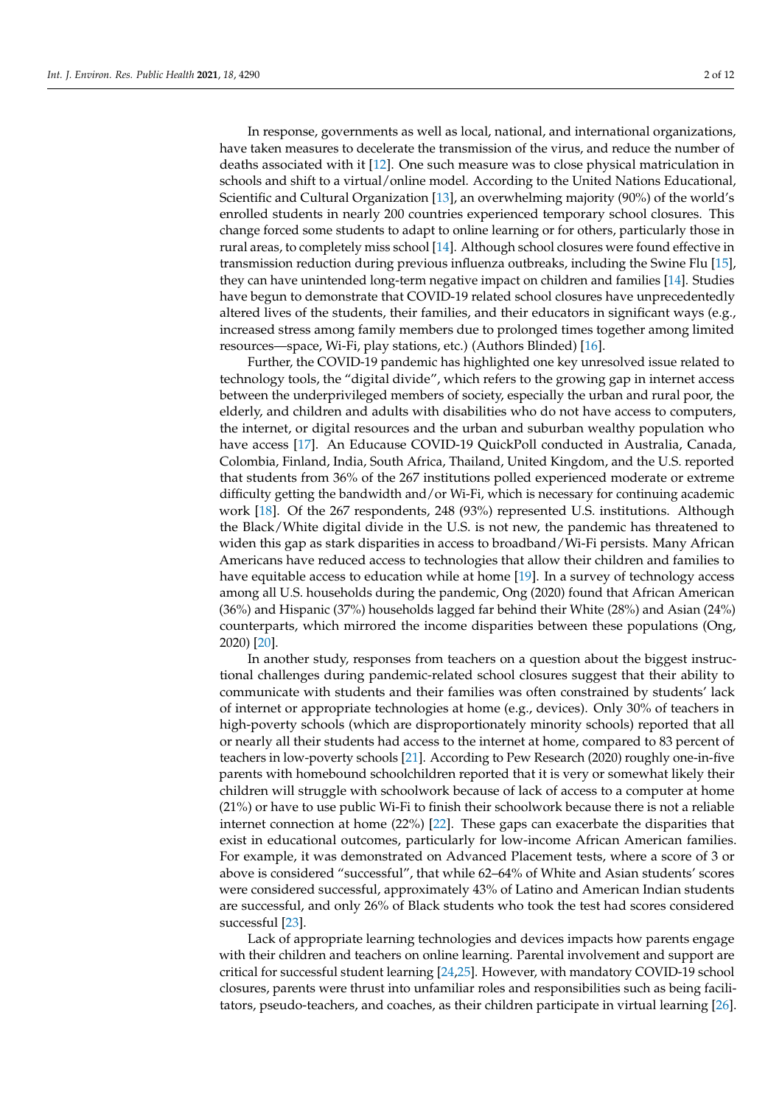In response, governments as well as local, national, and international organizations, have taken measures to decelerate the transmission of the virus, and reduce the number of deaths associated with it [\[12\]](#page-9-9). One such measure was to close physical matriculation in schools and shift to a virtual/online model. According to the United Nations Educational, Scientific and Cultural Organization [\[13\]](#page-9-10), an overwhelming majority (90%) of the world's enrolled students in nearly 200 countries experienced temporary school closures. This change forced some students to adapt to online learning or for others, particularly those in rural areas, to completely miss school [\[14\]](#page-9-11). Although school closures were found effective in transmission reduction during previous influenza outbreaks, including the Swine Flu [\[15\]](#page-10-0), they can have unintended long-term negative impact on children and families [\[14\]](#page-9-11). Studies have begun to demonstrate that COVID-19 related school closures have unprecedentedly altered lives of the students, their families, and their educators in significant ways (e.g., increased stress among family members due to prolonged times together among limited resources—space, Wi-Fi, play stations, etc.) (Authors Blinded) [\[16\]](#page-10-1).

Further, the COVID-19 pandemic has highlighted one key unresolved issue related to technology tools, the "digital divide", which refers to the growing gap in internet access between the underprivileged members of society, especially the urban and rural poor, the elderly, and children and adults with disabilities who do not have access to computers, the internet, or digital resources and the urban and suburban wealthy population who have access [\[17\]](#page-10-2). An Educause COVID-19 QuickPoll conducted in Australia, Canada, Colombia, Finland, India, South Africa, Thailand, United Kingdom, and the U.S. reported that students from 36% of the 267 institutions polled experienced moderate or extreme difficulty getting the bandwidth and/or Wi-Fi, which is necessary for continuing academic work [\[18\]](#page-10-3). Of the 267 respondents, 248 (93%) represented U.S. institutions. Although the Black/White digital divide in the U.S. is not new, the pandemic has threatened to widen this gap as stark disparities in access to broadband/Wi-Fi persists. Many African Americans have reduced access to technologies that allow their children and families to have equitable access to education while at home [\[19\]](#page-10-4). In a survey of technology access among all U.S. households during the pandemic, Ong (2020) found that African American (36%) and Hispanic (37%) households lagged far behind their White (28%) and Asian (24%) counterparts, which mirrored the income disparities between these populations (Ong, 2020) [\[20\]](#page-10-5).

In another study, responses from teachers on a question about the biggest instructional challenges during pandemic-related school closures suggest that their ability to communicate with students and their families was often constrained by students' lack of internet or appropriate technologies at home (e.g., devices). Only 30% of teachers in high-poverty schools (which are disproportionately minority schools) reported that all or nearly all their students had access to the internet at home, compared to 83 percent of teachers in low-poverty schools [\[21\]](#page-10-6). According to Pew Research (2020) roughly one-in-five parents with homebound schoolchildren reported that it is very or somewhat likely their children will struggle with schoolwork because of lack of access to a computer at home (21%) or have to use public Wi-Fi to finish their schoolwork because there is not a reliable internet connection at home (22%) [\[22\]](#page-10-7). These gaps can exacerbate the disparities that exist in educational outcomes, particularly for low-income African American families. For example, it was demonstrated on Advanced Placement tests, where a score of 3 or above is considered "successful", that while 62–64% of White and Asian students' scores were considered successful, approximately 43% of Latino and American Indian students are successful, and only 26% of Black students who took the test had scores considered successful [\[23\]](#page-10-8).

Lack of appropriate learning technologies and devices impacts how parents engage with their children and teachers on online learning. Parental involvement and support are critical for successful student learning [\[24](#page-10-9)[,25\]](#page-10-10). However, with mandatory COVID-19 school closures, parents were thrust into unfamiliar roles and responsibilities such as being facilitators, pseudo-teachers, and coaches, as their children participate in virtual learning [\[26\]](#page-10-11).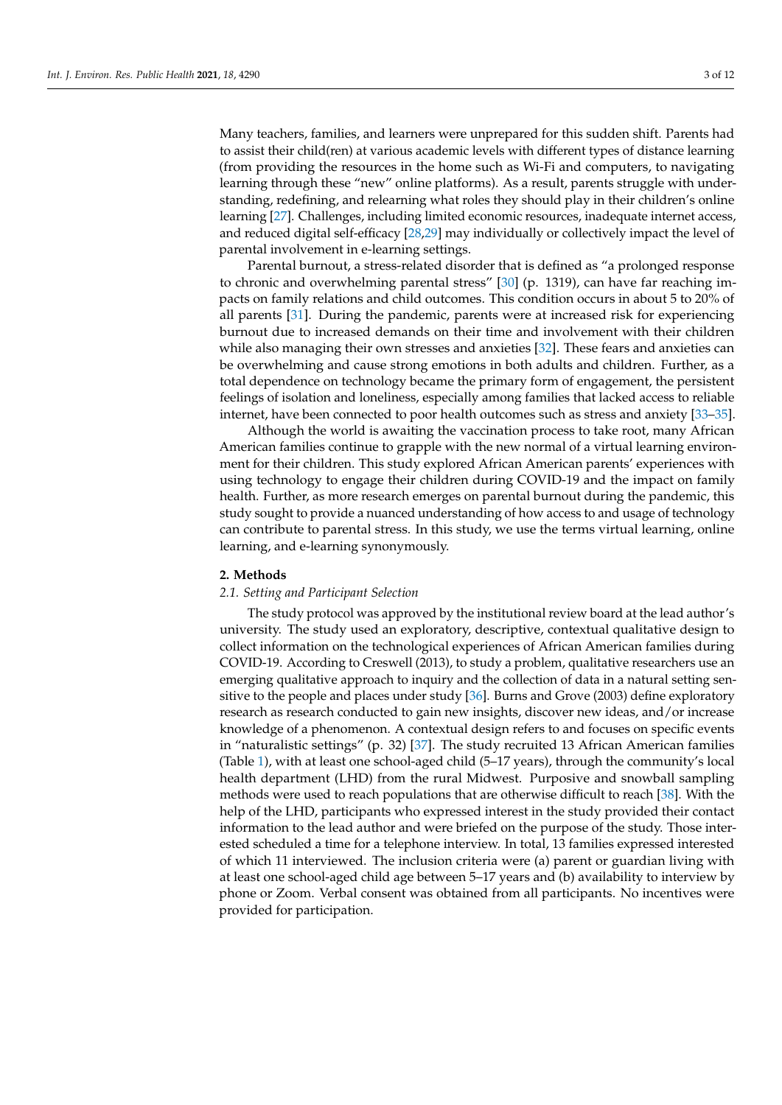Many teachers, families, and learners were unprepared for this sudden shift. Parents had to assist their child(ren) at various academic levels with different types of distance learning (from providing the resources in the home such as Wi-Fi and computers, to navigating learning through these "new" online platforms). As a result, parents struggle with understanding, redefining, and relearning what roles they should play in their children's online learning [\[27\]](#page-10-12). Challenges, including limited economic resources, inadequate internet access, and reduced digital self-efficacy [\[28](#page-10-13)[,29\]](#page-10-14) may individually or collectively impact the level of parental involvement in e-learning settings.

Parental burnout, a stress-related disorder that is defined as "a prolonged response to chronic and overwhelming parental stress" [\[30\]](#page-10-15) (p. 1319), can have far reaching impacts on family relations and child outcomes. This condition occurs in about 5 to 20% of all parents [\[31\]](#page-10-16). During the pandemic, parents were at increased risk for experiencing burnout due to increased demands on their time and involvement with their children while also managing their own stresses and anxieties [\[32\]](#page-10-17). These fears and anxieties can be overwhelming and cause strong emotions in both adults and children. Further, as a total dependence on technology became the primary form of engagement, the persistent feelings of isolation and loneliness, especially among families that lacked access to reliable internet, have been connected to poor health outcomes such as stress and anxiety [\[33](#page-10-18)[–35\]](#page-10-19).

Although the world is awaiting the vaccination process to take root, many African American families continue to grapple with the new normal of a virtual learning environment for their children. This study explored African American parents' experiences with using technology to engage their children during COVID-19 and the impact on family health. Further, as more research emerges on parental burnout during the pandemic, this study sought to provide a nuanced understanding of how access to and usage of technology can contribute to parental stress. In this study, we use the terms virtual learning, online learning, and e-learning synonymously.

#### **2. Methods**

# *2.1. Setting and Participant Selection*

The study protocol was approved by the institutional review board at the lead author's university. The study used an exploratory, descriptive, contextual qualitative design to collect information on the technological experiences of African American families during COVID-19. According to Creswell (2013), to study a problem, qualitative researchers use an emerging qualitative approach to inquiry and the collection of data in a natural setting sensitive to the people and places under study [\[36\]](#page-10-20). Burns and Grove (2003) define exploratory research as research conducted to gain new insights, discover new ideas, and/or increase knowledge of a phenomenon. A contextual design refers to and focuses on specific events in "naturalistic settings" (p. 32) [\[37\]](#page-10-21). The study recruited 13 African American families (Table [1\)](#page-3-0), with at least one school-aged child (5–17 years), through the community's local health department (LHD) from the rural Midwest. Purposive and snowball sampling methods were used to reach populations that are otherwise difficult to reach [\[38\]](#page-10-22). With the help of the LHD, participants who expressed interest in the study provided their contact information to the lead author and were briefed on the purpose of the study. Those interested scheduled a time for a telephone interview. In total, 13 families expressed interested of which 11 interviewed. The inclusion criteria were (a) parent or guardian living with at least one school-aged child age between 5–17 years and (b) availability to interview by phone or Zoom. Verbal consent was obtained from all participants. No incentives were provided for participation.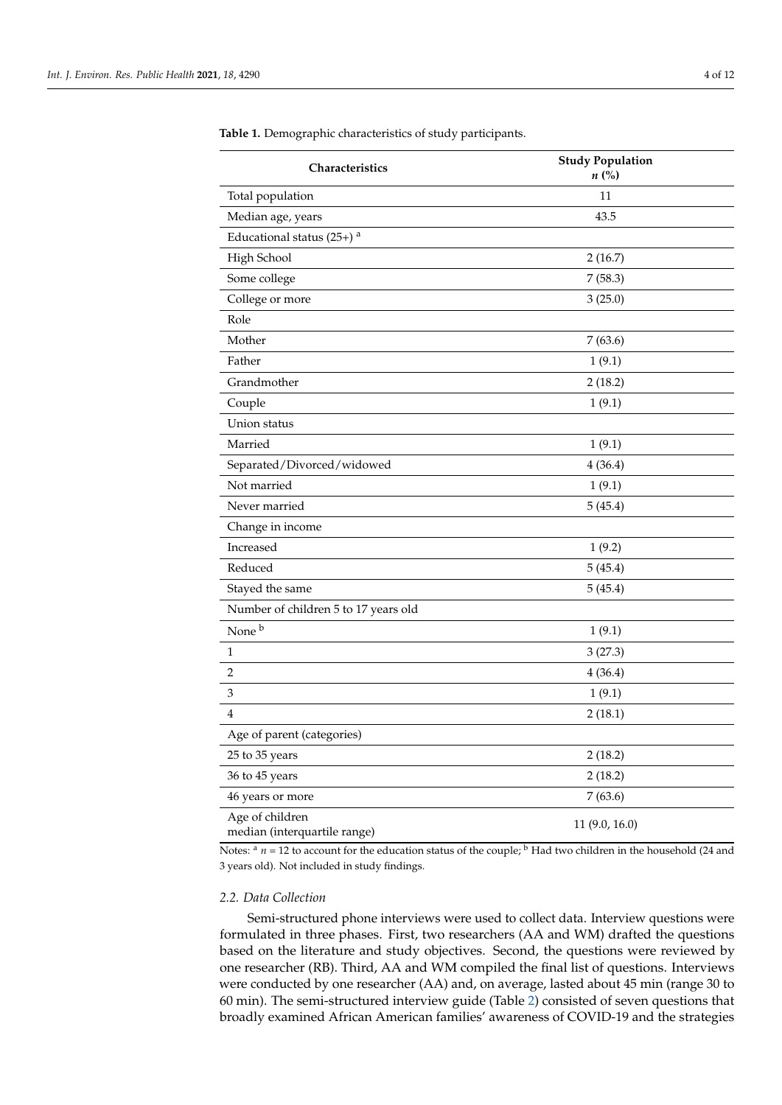| Characteristics                                 | <b>Study Population</b><br>$n\left(\%\right)$ |  |
|-------------------------------------------------|-----------------------------------------------|--|
| Total population                                | 11                                            |  |
| Median age, years                               | 43.5                                          |  |
| Educational status $(25+)$ <sup>a</sup>         |                                               |  |
| High School                                     | 2(16.7)                                       |  |
| Some college                                    | 7(58.3)                                       |  |
| College or more                                 | 3(25.0)                                       |  |
| Role                                            |                                               |  |
| Mother                                          | 7(63.6)                                       |  |
| Father                                          | 1(9.1)                                        |  |
| Grandmother                                     | 2(18.2)                                       |  |
| Couple                                          | 1(9.1)                                        |  |
| Union status                                    |                                               |  |
| Married                                         | 1(9.1)                                        |  |
| Separated/Divorced/widowed                      | 4(36.4)                                       |  |
| Not married                                     | 1(9.1)                                        |  |
| Never married                                   | 5(45.4)                                       |  |
| Change in income                                |                                               |  |
| Increased                                       | 1(9.2)                                        |  |
| Reduced                                         | 5(45.4)                                       |  |
| Stayed the same                                 | 5(45.4)                                       |  |
| Number of children 5 to 17 years old            |                                               |  |
| None <sup>b</sup>                               | 1(9.1)                                        |  |
| $\mathbf{1}$                                    | 3(27.3)                                       |  |
| 2                                               | 4(36.4)                                       |  |
| 3                                               | 1(9.1)                                        |  |
| 4                                               | 2(18.1)                                       |  |
| Age of parent (categories)                      |                                               |  |
| 25 to 35 years                                  | 2(18.2)                                       |  |
| 36 to 45 years                                  | 2(18.2)                                       |  |
| 46 years or more                                | 7(63.6)                                       |  |
| Age of children<br>median (interquartile range) | 11 (9.0, 16.0)                                |  |

<span id="page-3-0"></span>**Table 1.** Demographic characteristics of study participants.

Notes:  $\alpha$  *n* = 12 to account for the education status of the couple;  $\beta$  Had two children in the household (24 and 3 years old). Not included in study findings.

## *2.2. Data Collection*

Semi-structured phone interviews were used to collect data. Interview questions were formulated in three phases. First, two researchers (AA and WM) drafted the questions based on the literature and study objectives. Second, the questions were reviewed by one researcher (RB). Third, AA and WM compiled the final list of questions. Interviews were conducted by one researcher (AA) and, on average, lasted about 45 min (range 30 to 60 min). The semi-structured interview guide (Table [2\)](#page-4-0) consisted of seven questions that broadly examined African American families' awareness of COVID-19 and the strategies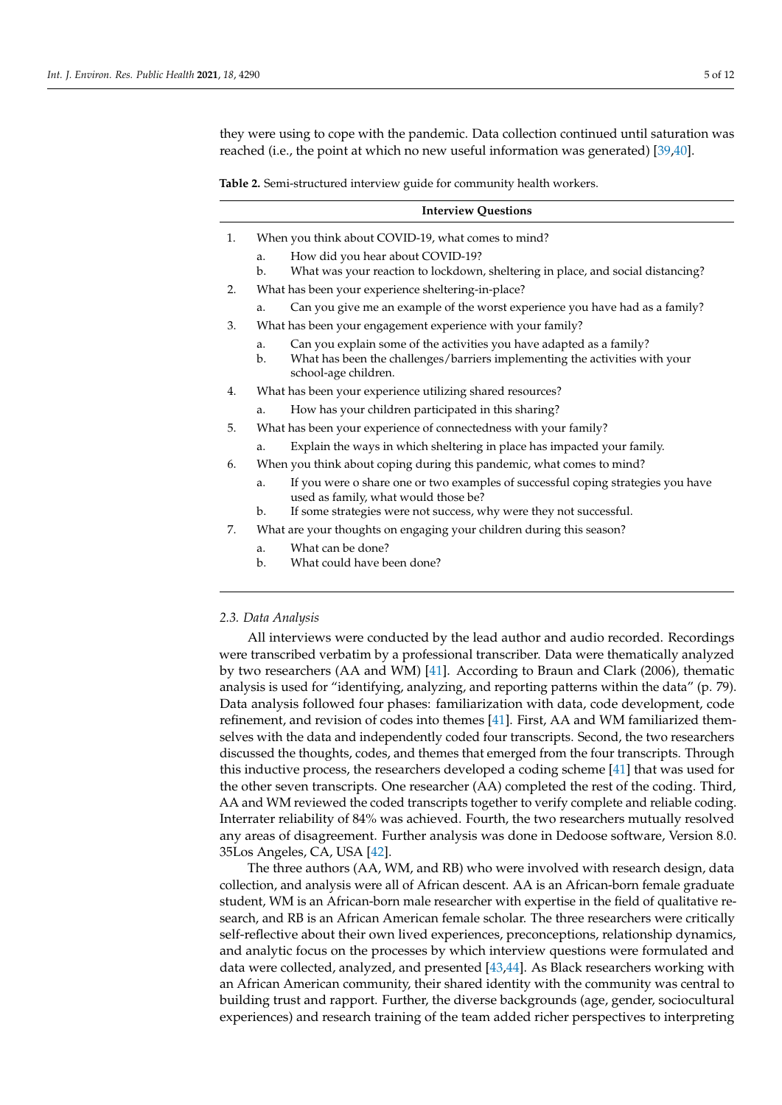they were using to cope with the pandemic. Data collection continued until saturation was reached (i.e., the point at which no new useful information was generated) [\[39](#page-10-23)[,40\]](#page-10-24).

<span id="page-4-0"></span>**Table 2.** Semi-structured interview guide for community health workers.

- 1. When you think about COVID-19, what comes to mind?
	- a. How did you hear about COVID-19?
	- b. What was your reaction to lockdown, sheltering in place, and social distancing?
- 2. What has been your experience sheltering-in-place?
	- Can you give me an example of the worst experience you have had as a family?
- 3. What has been your engagement experience with your family?
	- a. Can you explain some of the activities you have adapted as a family?
	- b. What has been the challenges/barriers implementing the activities with your school-age children.
- 4. What has been your experience utilizing shared resources?
	- a. How has your children participated in this sharing?
- 5. What has been your experience of connectedness with your family?
	- a. Explain the ways in which sheltering in place has impacted your family.
- 6. When you think about coping during this pandemic, what comes to mind?
	- a. If you were o share one or two examples of successful coping strategies you have used as family, what would those be?
	- b. If some strategies were not success, why were they not successful.
- 7. What are your thoughts on engaging your children during this season?
	- a. What can be done?
	- b. What could have been done?

#### *2.3. Data Analysis*

All interviews were conducted by the lead author and audio recorded. Recordings were transcribed verbatim by a professional transcriber. Data were thematically analyzed by two researchers (AA and WM) [\[41\]](#page-10-25). According to Braun and Clark (2006), thematic analysis is used for "identifying, analyzing, and reporting patterns within the data" (p. 79). Data analysis followed four phases: familiarization with data, code development, code refinement, and revision of codes into themes [\[41\]](#page-10-25). First, AA and WM familiarized themselves with the data and independently coded four transcripts. Second, the two researchers discussed the thoughts, codes, and themes that emerged from the four transcripts. Through this inductive process, the researchers developed a coding scheme [\[41\]](#page-10-25) that was used for the other seven transcripts. One researcher (AA) completed the rest of the coding. Third, AA and WM reviewed the coded transcripts together to verify complete and reliable coding. Interrater reliability of 84% was achieved. Fourth, the two researchers mutually resolved any areas of disagreement. Further analysis was done in Dedoose software, Version 8.0. 35Los Angeles, CA, USA [\[42\]](#page-10-26).

The three authors (AA, WM, and RB) who were involved with research design, data collection, and analysis were all of African descent. AA is an African-born female graduate student, WM is an African-born male researcher with expertise in the field of qualitative research, and RB is an African American female scholar. The three researchers were critically self-reflective about their own lived experiences, preconceptions, relationship dynamics, and analytic focus on the processes by which interview questions were formulated and data were collected, analyzed, and presented [\[43,](#page-10-27)[44\]](#page-11-0). As Black researchers working with an African American community, their shared identity with the community was central to building trust and rapport. Further, the diverse backgrounds (age, gender, sociocultural experiences) and research training of the team added richer perspectives to interpreting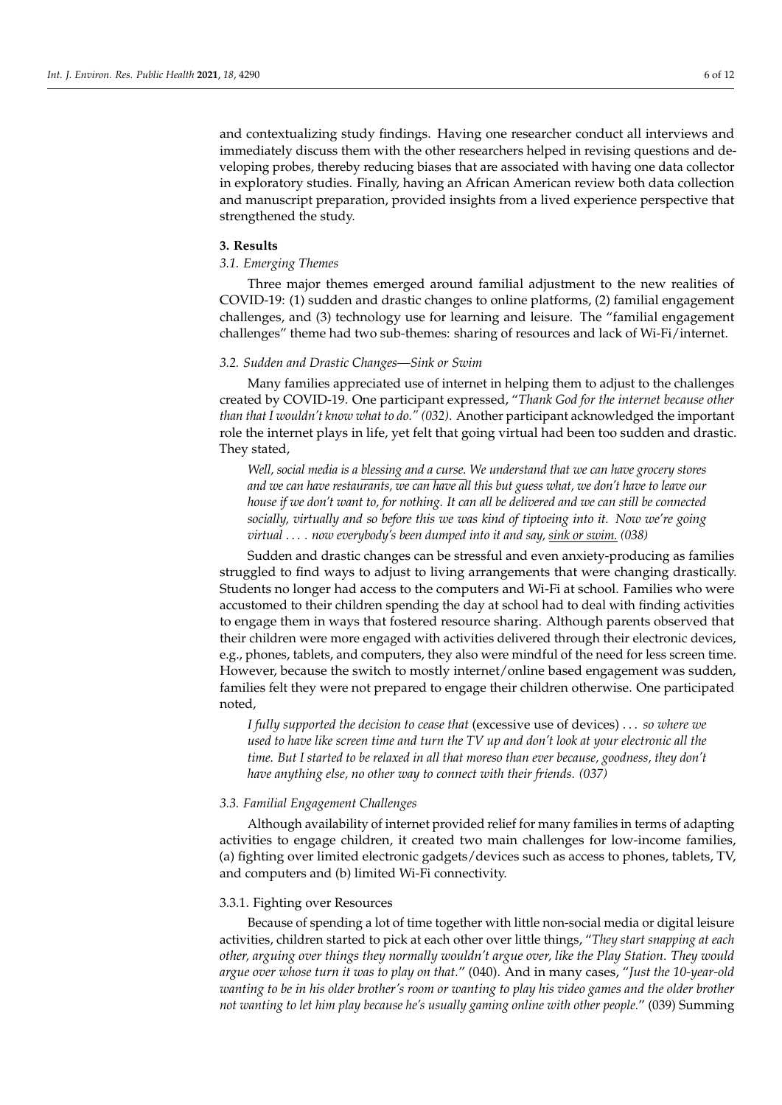and contextualizing study findings. Having one researcher conduct all interviews and immediately discuss them with the other researchers helped in revising questions and developing probes, thereby reducing biases that are associated with having one data collector in exploratory studies. Finally, having an African American review both data collection and manuscript preparation, provided insights from a lived experience perspective that strengthened the study.

### **3. Results**

# *3.1. Emerging Themes*

Three major themes emerged around familial adjustment to the new realities of COVID-19: (1) sudden and drastic changes to online platforms, (2) familial engagement challenges, and (3) technology use for learning and leisure. The "familial engagement challenges" theme had two sub-themes: sharing of resources and lack of Wi-Fi/internet.

#### *3.2. Sudden and Drastic Changes—Sink or Swim*

Many families appreciated use of internet in helping them to adjust to the challenges created by COVID-19. One participant expressed, "*Thank God for the internet because other than that I wouldn't know what to do." (032)*. Another participant acknowledged the important role the internet plays in life, yet felt that going virtual had been too sudden and drastic. They stated,

*Well, social media is a blessing and a curse. We understand that we can have grocery stores and we can have restaurants, we can have all this but guess what, we don't have to leave our house if we don't want to, for nothing. It can all be delivered and we can still be connected socially, virtually and so before this we was kind of tiptoeing into it. Now we're going virtual* . . . *. now everybody's been dumped into it and say, sink or swim. (038)*

Sudden and drastic changes can be stressful and even anxiety-producing as families struggled to find ways to adjust to living arrangements that were changing drastically. Students no longer had access to the computers and Wi-Fi at school. Families who were accustomed to their children spending the day at school had to deal with finding activities to engage them in ways that fostered resource sharing. Although parents observed that their children were more engaged with activities delivered through their electronic devices, e.g., phones, tablets, and computers, they also were mindful of the need for less screen time. However, because the switch to mostly internet/online based engagement was sudden, families felt they were not prepared to engage their children otherwise. One participated noted,

*I fully supported the decision to cease that* (excessive use of devices) . . . *so where we used to have like screen time and turn the TV up and don't look at your electronic all the time. But I started to be relaxed in all that moreso than ever because, goodness, they don't have anything else, no other way to connect with their friends. (037)*

#### *3.3. Familial Engagement Challenges*

Although availability of internet provided relief for many families in terms of adapting activities to engage children, it created two main challenges for low-income families, (a) fighting over limited electronic gadgets/devices such as access to phones, tablets, TV, and computers and (b) limited Wi-Fi connectivity.

#### 3.3.1. Fighting over Resources

Because of spending a lot of time together with little non-social media or digital leisure activities, children started to pick at each other over little things, "*They start snapping at each other, arguing over things they normally wouldn't argue over, like the Play Station. They would argue over whose turn it was to play on that.*" (040). And in many cases, "*Just the 10-year-old wanting to be in his older brother's room or wanting to play his video games and the older brother not wanting to let him play because he's usually gaming online with other people.*" (039) Summing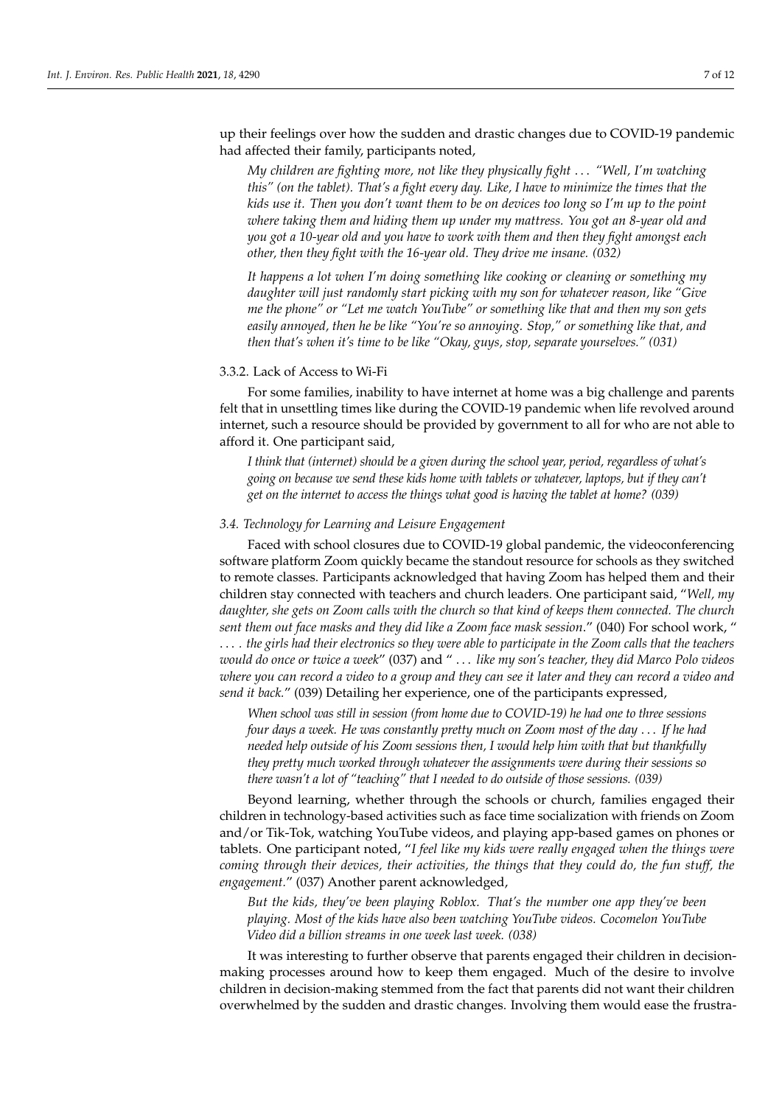up their feelings over how the sudden and drastic changes due to COVID-19 pandemic had affected their family, participants noted,

*My children are fighting more, not like they physically fight* . . . *"Well, I'm watching this" (on the tablet). That's a fight every day. Like, I have to minimize the times that the kids use it. Then you don't want them to be on devices too long so I'm up to the point where taking them and hiding them up under my mattress. You got an 8-year old and you got a 10-year old and you have to work with them and then they fight amongst each other, then they fight with the 16-year old. They drive me insane. (032)*

*It happens a lot when I'm doing something like cooking or cleaning or something my daughter will just randomly start picking with my son for whatever reason, like "Give me the phone" or "Let me watch YouTube" or something like that and then my son gets easily annoyed, then he be like "You're so annoying. Stop," or something like that, and then that's when it's time to be like "Okay, guys, stop, separate yourselves." (031)*

## 3.3.2. Lack of Access to Wi-Fi

For some families, inability to have internet at home was a big challenge and parents felt that in unsettling times like during the COVID-19 pandemic when life revolved around internet, such a resource should be provided by government to all for who are not able to afford it. One participant said,

*I think that (internet) should be a given during the school year, period, regardless of what's going on because we send these kids home with tablets or whatever, laptops, but if they can't get on the internet to access the things what good is having the tablet at home? (039)*

## *3.4. Technology for Learning and Leisure Engagement*

Faced with school closures due to COVID-19 global pandemic, the videoconferencing software platform Zoom quickly became the standout resource for schools as they switched to remote classes. Participants acknowledged that having Zoom has helped them and their children stay connected with teachers and church leaders. One participant said, "*Well, my daughter, she gets on Zoom calls with the church so that kind of keeps them connected. The church sent them out face masks and they did like a Zoom face mask session*." (040) For school work, " . . . *. the girls had their electronics so they were able to participate in the Zoom calls that the teachers would do once or twice a week*" (037) and " . . . *like my son's teacher, they did Marco Polo videos where you can record a video to a group and they can see it later and they can record a video and send it back.*" (039) Detailing her experience, one of the participants expressed,

*When school was still in session (from home due to COVID-19) he had one to three sessions four days a week. He was constantly pretty much on Zoom most of the day* . . . *If he had needed help outside of his Zoom sessions then, I would help him with that but thankfully they pretty much worked through whatever the assignments were during their sessions so there wasn't a lot of "teaching" that I needed to do outside of those sessions. (039)*

Beyond learning, whether through the schools or church, families engaged their children in technology-based activities such as face time socialization with friends on Zoom and/or Tik-Tok, watching YouTube videos, and playing app-based games on phones or tablets. One participant noted, "*I feel like my kids were really engaged when the things were coming through their devices, their activities, the things that they could do, the fun stuff, the engagement.*" (037) Another parent acknowledged,

*But the kids, they've been playing Roblox. That's the number one app they've been playing. Most of the kids have also been watching YouTube videos. Cocomelon YouTube Video did a billion streams in one week last week. (038)*

It was interesting to further observe that parents engaged their children in decisionmaking processes around how to keep them engaged. Much of the desire to involve children in decision-making stemmed from the fact that parents did not want their children overwhelmed by the sudden and drastic changes. Involving them would ease the frustra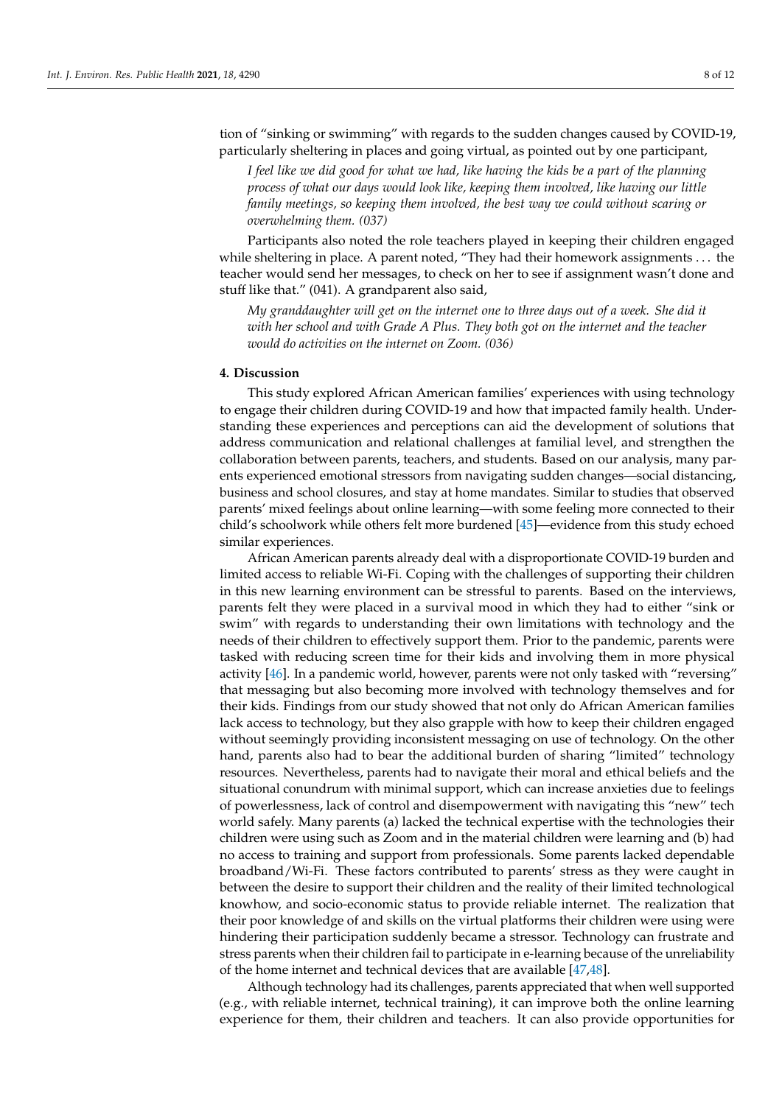tion of "sinking or swimming" with regards to the sudden changes caused by COVID-19, particularly sheltering in places and going virtual, as pointed out by one participant,

*I feel like we did good for what we had, like having the kids be a part of the planning process of what our days would look like, keeping them involved, like having our little family meetings, so keeping them involved, the best way we could without scaring or overwhelming them. (037)*

Participants also noted the role teachers played in keeping their children engaged while sheltering in place. A parent noted, "They had their homework assignments . . . the teacher would send her messages, to check on her to see if assignment wasn't done and stuff like that." (041). A grandparent also said,

*My granddaughter will get on the internet one to three days out of a week. She did it with her school and with Grade A Plus. They both got on the internet and the teacher would do activities on the internet on Zoom. (036)*

# **4. Discussion**

This study explored African American families' experiences with using technology to engage their children during COVID-19 and how that impacted family health. Understanding these experiences and perceptions can aid the development of solutions that address communication and relational challenges at familial level, and strengthen the collaboration between parents, teachers, and students. Based on our analysis, many parents experienced emotional stressors from navigating sudden changes—social distancing, business and school closures, and stay at home mandates. Similar to studies that observed parents' mixed feelings about online learning—with some feeling more connected to their child's schoolwork while others felt more burdened [\[45\]](#page-11-1)—evidence from this study echoed similar experiences.

African American parents already deal with a disproportionate COVID-19 burden and limited access to reliable Wi-Fi. Coping with the challenges of supporting their children in this new learning environment can be stressful to parents. Based on the interviews, parents felt they were placed in a survival mood in which they had to either "sink or swim" with regards to understanding their own limitations with technology and the needs of their children to effectively support them. Prior to the pandemic, parents were tasked with reducing screen time for their kids and involving them in more physical activity [\[46\]](#page-11-2). In a pandemic world, however, parents were not only tasked with "reversing" that messaging but also becoming more involved with technology themselves and for their kids. Findings from our study showed that not only do African American families lack access to technology, but they also grapple with how to keep their children engaged without seemingly providing inconsistent messaging on use of technology. On the other hand, parents also had to bear the additional burden of sharing "limited" technology resources. Nevertheless, parents had to navigate their moral and ethical beliefs and the situational conundrum with minimal support, which can increase anxieties due to feelings of powerlessness, lack of control and disempowerment with navigating this "new" tech world safely. Many parents (a) lacked the technical expertise with the technologies their children were using such as Zoom and in the material children were learning and (b) had no access to training and support from professionals. Some parents lacked dependable broadband/Wi-Fi. These factors contributed to parents' stress as they were caught in between the desire to support their children and the reality of their limited technological knowhow, and socio-economic status to provide reliable internet. The realization that their poor knowledge of and skills on the virtual platforms their children were using were hindering their participation suddenly became a stressor. Technology can frustrate and stress parents when their children fail to participate in e-learning because of the unreliability of the home internet and technical devices that are available [\[47,](#page-11-3)[48\]](#page-11-4).

Although technology had its challenges, parents appreciated that when well supported (e.g., with reliable internet, technical training), it can improve both the online learning experience for them, their children and teachers. It can also provide opportunities for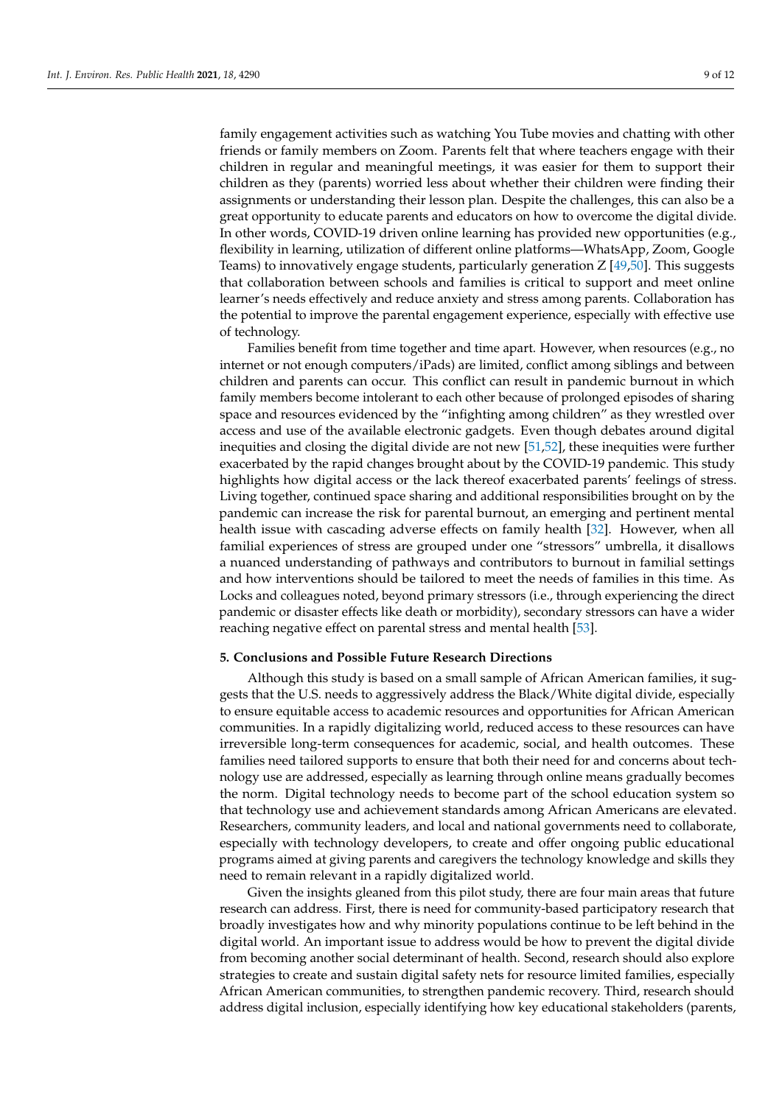family engagement activities such as watching You Tube movies and chatting with other friends or family members on Zoom. Parents felt that where teachers engage with their children in regular and meaningful meetings, it was easier for them to support their children as they (parents) worried less about whether their children were finding their assignments or understanding their lesson plan. Despite the challenges, this can also be a great opportunity to educate parents and educators on how to overcome the digital divide. In other words, COVID-19 driven online learning has provided new opportunities (e.g., flexibility in learning, utilization of different online platforms—WhatsApp, Zoom, Google Teams) to innovatively engage students, particularly generation Z [\[49](#page-11-5)[,50\]](#page-11-6). This suggests that collaboration between schools and families is critical to support and meet online learner's needs effectively and reduce anxiety and stress among parents. Collaboration has the potential to improve the parental engagement experience, especially with effective use of technology.

Families benefit from time together and time apart. However, when resources (e.g., no internet or not enough computers/iPads) are limited, conflict among siblings and between children and parents can occur. This conflict can result in pandemic burnout in which family members become intolerant to each other because of prolonged episodes of sharing space and resources evidenced by the "infighting among children" as they wrestled over access and use of the available electronic gadgets. Even though debates around digital inequities and closing the digital divide are not new [\[51](#page-11-7)[,52\]](#page-11-8), these inequities were further exacerbated by the rapid changes brought about by the COVID-19 pandemic. This study highlights how digital access or the lack thereof exacerbated parents' feelings of stress. Living together, continued space sharing and additional responsibilities brought on by the pandemic can increase the risk for parental burnout, an emerging and pertinent mental health issue with cascading adverse effects on family health [\[32\]](#page-10-17). However, when all familial experiences of stress are grouped under one "stressors" umbrella, it disallows a nuanced understanding of pathways and contributors to burnout in familial settings and how interventions should be tailored to meet the needs of families in this time. As Locks and colleagues noted, beyond primary stressors (i.e., through experiencing the direct pandemic or disaster effects like death or morbidity), secondary stressors can have a wider reaching negative effect on parental stress and mental health [\[53\]](#page-11-9).

# **5. Conclusions and Possible Future Research Directions**

Although this study is based on a small sample of African American families, it suggests that the U.S. needs to aggressively address the Black/White digital divide, especially to ensure equitable access to academic resources and opportunities for African American communities. In a rapidly digitalizing world, reduced access to these resources can have irreversible long-term consequences for academic, social, and health outcomes. These families need tailored supports to ensure that both their need for and concerns about technology use are addressed, especially as learning through online means gradually becomes the norm. Digital technology needs to become part of the school education system so that technology use and achievement standards among African Americans are elevated. Researchers, community leaders, and local and national governments need to collaborate, especially with technology developers, to create and offer ongoing public educational programs aimed at giving parents and caregivers the technology knowledge and skills they need to remain relevant in a rapidly digitalized world.

Given the insights gleaned from this pilot study, there are four main areas that future research can address. First, there is need for community-based participatory research that broadly investigates how and why minority populations continue to be left behind in the digital world. An important issue to address would be how to prevent the digital divide from becoming another social determinant of health. Second, research should also explore strategies to create and sustain digital safety nets for resource limited families, especially African American communities, to strengthen pandemic recovery. Third, research should address digital inclusion, especially identifying how key educational stakeholders (parents,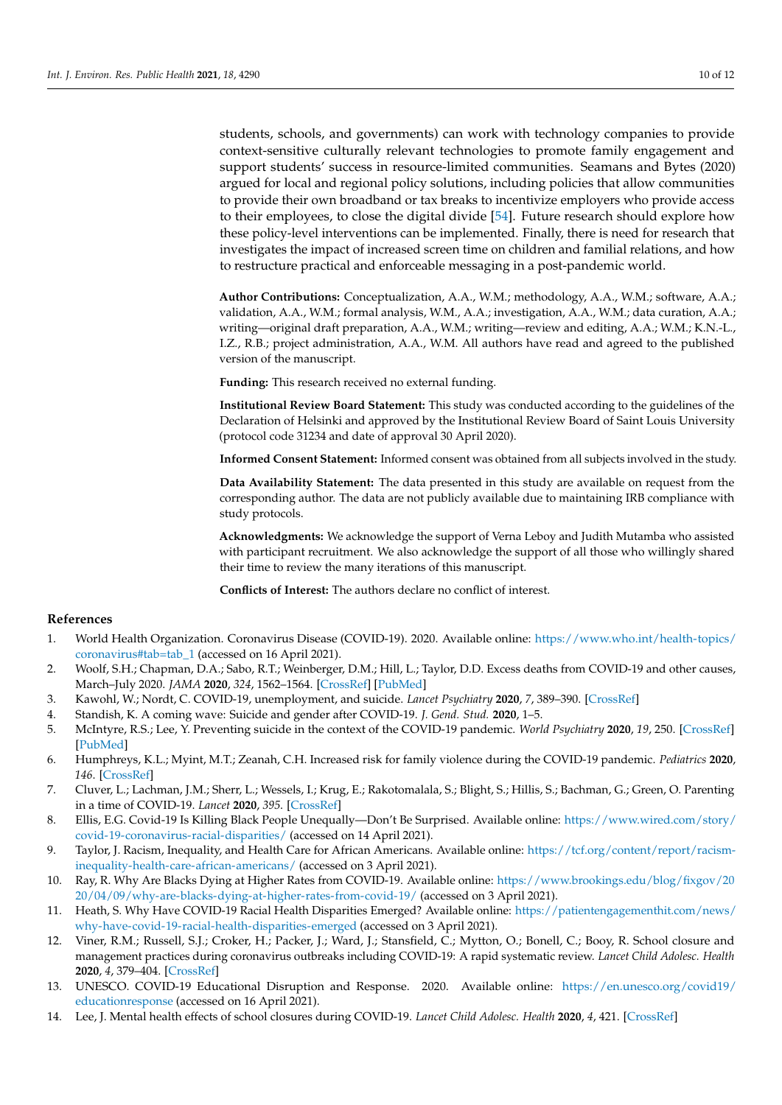students, schools, and governments) can work with technology companies to provide context-sensitive culturally relevant technologies to promote family engagement and support students' success in resource-limited communities. Seamans and Bytes (2020) argued for local and regional policy solutions, including policies that allow communities to provide their own broadband or tax breaks to incentivize employers who provide access to their employees, to close the digital divide [\[54\]](#page-11-10). Future research should explore how these policy-level interventions can be implemented. Finally, there is need for research that investigates the impact of increased screen time on children and familial relations, and how to restructure practical and enforceable messaging in a post-pandemic world.

**Author Contributions:** Conceptualization, A.A., W.M.; methodology, A.A., W.M.; software, A.A.; validation, A.A., W.M.; formal analysis, W.M., A.A.; investigation, A.A., W.M.; data curation, A.A.; writing—original draft preparation, A.A., W.M.; writing—review and editing, A.A.; W.M.; K.N.-L., I.Z., R.B.; project administration, A.A., W.M. All authors have read and agreed to the published version of the manuscript.

**Funding:** This research received no external funding.

**Institutional Review Board Statement:** This study was conducted according to the guidelines of the Declaration of Helsinki and approved by the Institutional Review Board of Saint Louis University (protocol code 31234 and date of approval 30 April 2020).

**Informed Consent Statement:** Informed consent was obtained from all subjects involved in the study.

**Data Availability Statement:** The data presented in this study are available on request from the corresponding author. The data are not publicly available due to maintaining IRB compliance with study protocols.

**Acknowledgments:** We acknowledge the support of Verna Leboy and Judith Mutamba who assisted with participant recruitment. We also acknowledge the support of all those who willingly shared their time to review the many iterations of this manuscript.

**Conflicts of Interest:** The authors declare no conflict of interest.

# **References**

- <span id="page-9-0"></span>1. World Health Organization. Coronavirus Disease (COVID-19). 2020. Available online: [https://www.who.int/health-topics/](https://www.who.int/health-topics/coronavirus#tab=tab_1) [coronavirus#tab=tab\\_1](https://www.who.int/health-topics/coronavirus#tab=tab_1) (accessed on 16 April 2021).
- <span id="page-9-1"></span>2. Woolf, S.H.; Chapman, D.A.; Sabo, R.T.; Weinberger, D.M.; Hill, L.; Taylor, D.D. Excess deaths from COVID-19 and other causes, March–July 2020. *JAMA* **2020**, *324*, 1562–1564. [\[CrossRef\]](http://doi.org/10.1001/jama.2020.19545) [\[PubMed\]](http://www.ncbi.nlm.nih.gov/pubmed/33044483)
- <span id="page-9-2"></span>3. Kawohl, W.; Nordt, C. COVID-19, unemployment, and suicide. *Lancet Psychiatry* **2020**, *7*, 389–390. [\[CrossRef\]](http://doi.org/10.1016/S2215-0366(20)30141-3)
- 4. Standish, K. A coming wave: Suicide and gender after COVID-19. *J. Gend. Stud.* **2020**, 1–5.
- <span id="page-9-3"></span>5. McIntyre, R.S.; Lee, Y. Preventing suicide in the context of the COVID-19 pandemic. *World Psychiatry* **2020**, *19*, 250. [\[CrossRef\]](http://doi.org/10.1002/wps.20767) [\[PubMed\]](http://www.ncbi.nlm.nih.gov/pubmed/32394579)
- <span id="page-9-4"></span>6. Humphreys, K.L.; Myint, M.T.; Zeanah, C.H. Increased risk for family violence during the COVID-19 pandemic. *Pediatrics* **2020**, *146*. [\[CrossRef\]](http://doi.org/10.1542/peds.2020-0982)
- <span id="page-9-5"></span>7. Cluver, L.; Lachman, J.M.; Sherr, L.; Wessels, I.; Krug, E.; Rakotomalala, S.; Blight, S.; Hillis, S.; Bachman, G.; Green, O. Parenting in a time of COVID-19. *Lancet* **2020**, *395*. [\[CrossRef\]](http://doi.org/10.1016/S0140-6736(20)30736-4)
- <span id="page-9-6"></span>8. Ellis, E.G. Covid-19 Is Killing Black People Unequally—Don't Be Surprised. Available online: [https://www.wired.com/story/](https://www.wired.com/story/covid-19-coronavirus-racial-disparities/) [covid-19-coronavirus-racial-disparities/](https://www.wired.com/story/covid-19-coronavirus-racial-disparities/) (accessed on 14 April 2021).
- <span id="page-9-7"></span>9. Taylor, J. Racism, Inequality, and Health Care for African Americans. Available online: [https://tcf.org/content/report/racism](https://tcf.org/content/report/racism-inequality-health-care-african-americans/)[inequality-health-care-african-americans/](https://tcf.org/content/report/racism-inequality-health-care-african-americans/) (accessed on 3 April 2021).
- 10. Ray, R. Why Are Blacks Dying at Higher Rates from COVID-19. Available online: [https://www.brookings.edu/blog/fixgov/20](https://www.brookings.edu/blog/fixgov/2020/04/09/why-are-blacks-dying-at-higher-rates-from-covid-19/) [20/04/09/why-are-blacks-dying-at-higher-rates-from-covid-19/](https://www.brookings.edu/blog/fixgov/2020/04/09/why-are-blacks-dying-at-higher-rates-from-covid-19/) (accessed on 3 April 2021).
- <span id="page-9-8"></span>11. Heath, S. Why Have COVID-19 Racial Health Disparities Emerged? Available online: [https://patientengagementhit.com/news/](https://patientengagementhit.com/news/why-have-covid-19-racial-health-disparities-emerged) [why-have-covid-19-racial-health-disparities-emerged](https://patientengagementhit.com/news/why-have-covid-19-racial-health-disparities-emerged) (accessed on 3 April 2021).
- <span id="page-9-9"></span>12. Viner, R.M.; Russell, S.J.; Croker, H.; Packer, J.; Ward, J.; Stansfield, C.; Mytton, O.; Bonell, C.; Booy, R. School closure and management practices during coronavirus outbreaks including COVID-19: A rapid systematic review. *Lancet Child Adolesc. Health* **2020**, *4*, 379–404. [\[CrossRef\]](http://doi.org/10.1016/S2352-4642(20)30095-X)
- <span id="page-9-10"></span>13. UNESCO. COVID-19 Educational Disruption and Response. 2020. Available online: [https://en.unesco.org/covid19/](https://en.unesco.org/covid19/educationresponse) [educationresponse](https://en.unesco.org/covid19/educationresponse) (accessed on 16 April 2021).
- <span id="page-9-11"></span>14. Lee, J. Mental health effects of school closures during COVID-19. *Lancet Child Adolesc. Health* **2020**, *4*, 421. [\[CrossRef\]](http://doi.org/10.1016/S2352-4642(20)30109-7)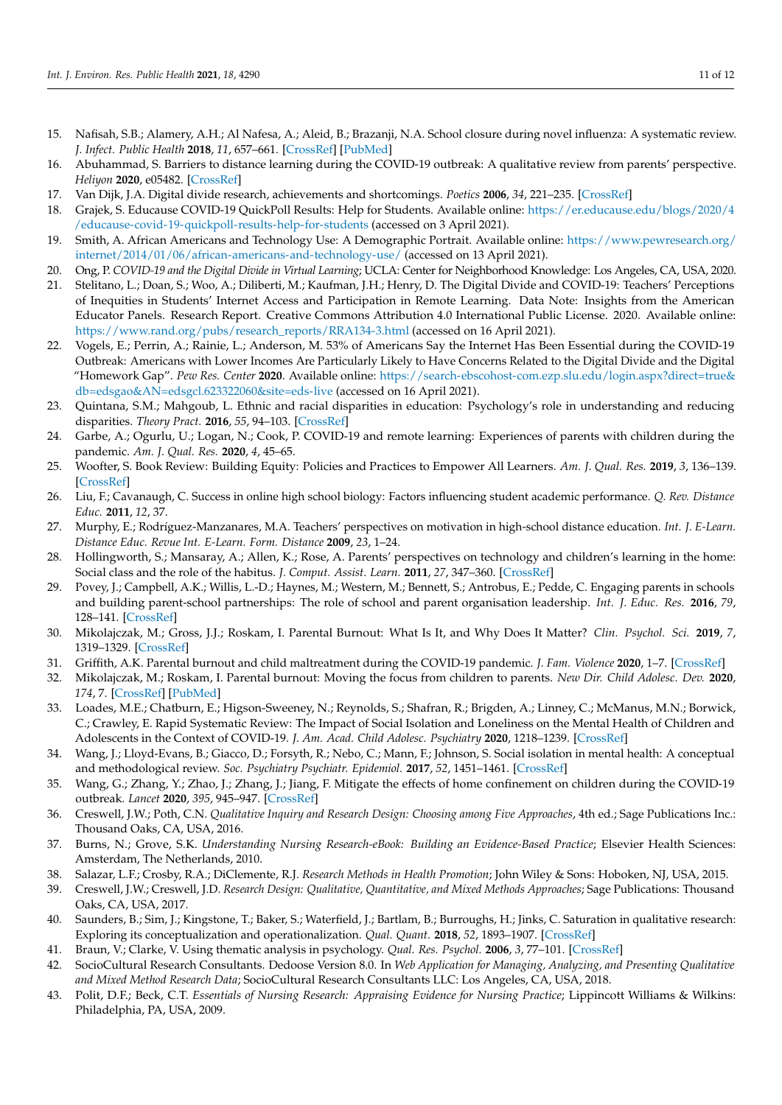- <span id="page-10-0"></span>15. Nafisah, S.B.; Alamery, A.H.; Al Nafesa, A.; Aleid, B.; Brazanji, N.A. School closure during novel influenza: A systematic review. *J. Infect. Public Health* **2018**, *11*, 657–661. [\[CrossRef\]](http://doi.org/10.1016/j.jiph.2018.01.003) [\[PubMed\]](http://www.ncbi.nlm.nih.gov/pubmed/29396256)
- <span id="page-10-1"></span>16. Abuhammad, S. Barriers to distance learning during the COVID-19 outbreak: A qualitative review from parents' perspective. *Heliyon* **2020**, e05482. [\[CrossRef\]](http://doi.org/10.1016/j.heliyon.2020.e05482)
- <span id="page-10-2"></span>17. Van Dijk, J.A. Digital divide research, achievements and shortcomings. *Poetics* **2006**, *34*, 221–235. [\[CrossRef\]](http://doi.org/10.1016/j.poetic.2006.05.004)
- <span id="page-10-3"></span>18. Grajek, S. Educause COVID-19 QuickPoll Results: Help for Students. Available online: [https://er.educause.edu/blogs/2020/4](https://er.educause.edu/blogs/2020/4/educause-covid-19-quickpoll-results-help-for-students) [/educause-covid-19-quickpoll-results-help-for-students](https://er.educause.edu/blogs/2020/4/educause-covid-19-quickpoll-results-help-for-students) (accessed on 3 April 2021).
- <span id="page-10-4"></span>19. Smith, A. African Americans and Technology Use: A Demographic Portrait. Available online: [https://www.pewresearch.org/](https://www.pewresearch.org/internet/2014/01/06/african-americans-and-technology-use/) [internet/2014/01/06/african-americans-and-technology-use/](https://www.pewresearch.org/internet/2014/01/06/african-americans-and-technology-use/) (accessed on 13 April 2021).
- <span id="page-10-5"></span>20. Ong, P. *COVID-19 and the Digital Divide in Virtual Learning*; UCLA: Center for Neighborhood Knowledge: Los Angeles, CA, USA, 2020.
- <span id="page-10-6"></span>21. Stelitano, L.; Doan, S.; Woo, A.; Diliberti, M.; Kaufman, J.H.; Henry, D. The Digital Divide and COVID-19: Teachers' Perceptions of Inequities in Students' Internet Access and Participation in Remote Learning. Data Note: Insights from the American Educator Panels. Research Report. Creative Commons Attribution 4.0 International Public License. 2020. Available online: [https://www.rand.org/pubs/research\\_reports/RRA134-3.html](https://www.rand.org/pubs/research_reports/RRA134-3.html) (accessed on 16 April 2021).
- <span id="page-10-7"></span>22. Vogels, E.; Perrin, A.; Rainie, L.; Anderson, M. 53% of Americans Say the Internet Has Been Essential during the COVID-19 Outbreak: Americans with Lower Incomes Are Particularly Likely to Have Concerns Related to the Digital Divide and the Digital "Homework Gap". *Pew Res. Center* **2020**. Available online: [https://search-ebscohost-com.ezp.slu.edu/login.aspx?direct=true&](https://search-ebscohost-com.ezp.slu.edu/login.aspx?direct=true&db=edsgao&AN=edsgcl.623322060&site=eds-live) [db=edsgao&AN=edsgcl.623322060&site=eds-live](https://search-ebscohost-com.ezp.slu.edu/login.aspx?direct=true&db=edsgao&AN=edsgcl.623322060&site=eds-live) (accessed on 16 April 2021).
- <span id="page-10-8"></span>23. Quintana, S.M.; Mahgoub, L. Ethnic and racial disparities in education: Psychology's role in understanding and reducing disparities. *Theory Pract.* **2016**, *55*, 94–103. [\[CrossRef\]](http://doi.org/10.1080/00405841.2016.1148985)
- <span id="page-10-9"></span>24. Garbe, A.; Ogurlu, U.; Logan, N.; Cook, P. COVID-19 and remote learning: Experiences of parents with children during the pandemic. *Am. J. Qual. Res.* **2020**, *4*, 45–65.
- <span id="page-10-10"></span>25. Woofter, S. Book Review: Building Equity: Policies and Practices to Empower All Learners. *Am. J. Qual. Res.* **2019**, *3*, 136–139. [\[CrossRef\]](http://doi.org/10.29333/ajqr/5815)
- <span id="page-10-11"></span>26. Liu, F.; Cavanaugh, C. Success in online high school biology: Factors influencing student academic performance. *Q. Rev. Distance Educ.* **2011**, *12*, 37.
- <span id="page-10-12"></span>27. Murphy, E.; Rodríguez-Manzanares, M.A. Teachers' perspectives on motivation in high-school distance education. *Int. J. E-Learn. Distance Educ. Revue Int. E-Learn. Form. Distance* **2009**, *23*, 1–24.
- <span id="page-10-13"></span>28. Hollingworth, S.; Mansaray, A.; Allen, K.; Rose, A. Parents' perspectives on technology and children's learning in the home: Social class and the role of the habitus. *J. Comput. Assist. Learn.* **2011**, *27*, 347–360. [\[CrossRef\]](http://doi.org/10.1111/j.1365-2729.2011.00431.x)
- <span id="page-10-14"></span>29. Povey, J.; Campbell, A.K.; Willis, L.-D.; Haynes, M.; Western, M.; Bennett, S.; Antrobus, E.; Pedde, C. Engaging parents in schools and building parent-school partnerships: The role of school and parent organisation leadership. *Int. J. Educ. Res.* **2016**, *79*, 128–141. [\[CrossRef\]](http://doi.org/10.1016/j.ijer.2016.07.005)
- <span id="page-10-15"></span>30. Mikolajczak, M.; Gross, J.J.; Roskam, I. Parental Burnout: What Is It, and Why Does It Matter? *Clin. Psychol. Sci.* **2019**, *7*, 1319–1329. [\[CrossRef\]](http://doi.org/10.1177/2167702619858430)
- <span id="page-10-16"></span>31. Griffith, A.K. Parental burnout and child maltreatment during the COVID-19 pandemic. *J. Fam. Violence* **2020**, 1–7. [\[CrossRef\]](http://doi.org/10.1007/s10896-020-00172-2)
- <span id="page-10-17"></span>32. Mikolajczak, M.; Roskam, I. Parental burnout: Moving the focus from children to parents. *New Dir. Child Adolesc. Dev.* **2020**, *174*, 7. [\[CrossRef\]](http://doi.org/10.1002/cad.20376) [\[PubMed\]](http://www.ncbi.nlm.nih.gov/pubmed/33084244)
- <span id="page-10-18"></span>33. Loades, M.E.; Chatburn, E.; Higson-Sweeney, N.; Reynolds, S.; Shafran, R.; Brigden, A.; Linney, C.; McManus, M.N.; Borwick, C.; Crawley, E. Rapid Systematic Review: The Impact of Social Isolation and Loneliness on the Mental Health of Children and Adolescents in the Context of COVID-19. *J. Am. Acad. Child Adolesc. Psychiatry* **2020**, 1218–1239. [\[CrossRef\]](http://doi.org/10.1016/j.jaac.2020.05.009)
- 34. Wang, J.; Lloyd-Evans, B.; Giacco, D.; Forsyth, R.; Nebo, C.; Mann, F.; Johnson, S. Social isolation in mental health: A conceptual and methodological review. *Soc. Psychiatry Psychiatr. Epidemiol.* **2017**, *52*, 1451–1461. [\[CrossRef\]](http://doi.org/10.1007/s00127-017-1446-1)
- <span id="page-10-19"></span>35. Wang, G.; Zhang, Y.; Zhao, J.; Zhang, J.; Jiang, F. Mitigate the effects of home confinement on children during the COVID-19 outbreak. *Lancet* **2020**, *395*, 945–947. [\[CrossRef\]](http://doi.org/10.1016/S0140-6736(20)30547-X)
- <span id="page-10-20"></span>36. Creswell, J.W.; Poth, C.N. *Qualitative Inquiry and Research Design: Choosing among Five Approaches*, 4th ed.; Sage Publications Inc.: Thousand Oaks, CA, USA, 2016.
- <span id="page-10-21"></span>37. Burns, N.; Grove, S.K. *Understanding Nursing Research-eBook: Building an Evidence-Based Practice*; Elsevier Health Sciences: Amsterdam, The Netherlands, 2010.
- <span id="page-10-22"></span>38. Salazar, L.F.; Crosby, R.A.; DiClemente, R.J. *Research Methods in Health Promotion*; John Wiley & Sons: Hoboken, NJ, USA, 2015.
- <span id="page-10-23"></span>39. Creswell, J.W.; Creswell, J.D. *Research Design: Qualitative, Quantitative, and Mixed Methods Approaches*; Sage Publications: Thousand Oaks, CA, USA, 2017.
- <span id="page-10-24"></span>40. Saunders, B.; Sim, J.; Kingstone, T.; Baker, S.; Waterfield, J.; Bartlam, B.; Burroughs, H.; Jinks, C. Saturation in qualitative research: Exploring its conceptualization and operationalization. *Qual. Quant.* **2018**, *52*, 1893–1907. [\[CrossRef\]](http://doi.org/10.1007/s11135-017-0574-8)
- <span id="page-10-25"></span>41. Braun, V.; Clarke, V. Using thematic analysis in psychology. *Qual. Res. Psychol.* **2006**, *3*, 77–101. [\[CrossRef\]](http://doi.org/10.1191/1478088706qp063oa)
- <span id="page-10-26"></span>42. SocioCultural Research Consultants. Dedoose Version 8.0. In *Web Application for Managing, Analyzing, and Presenting Qualitative and Mixed Method Research Data*; SocioCultural Research Consultants LLC: Los Angeles, CA, USA, 2018.
- <span id="page-10-27"></span>43. Polit, D.F.; Beck, C.T. *Essentials of Nursing Research: Appraising Evidence for Nursing Practice*; Lippincott Williams & Wilkins: Philadelphia, PA, USA, 2009.